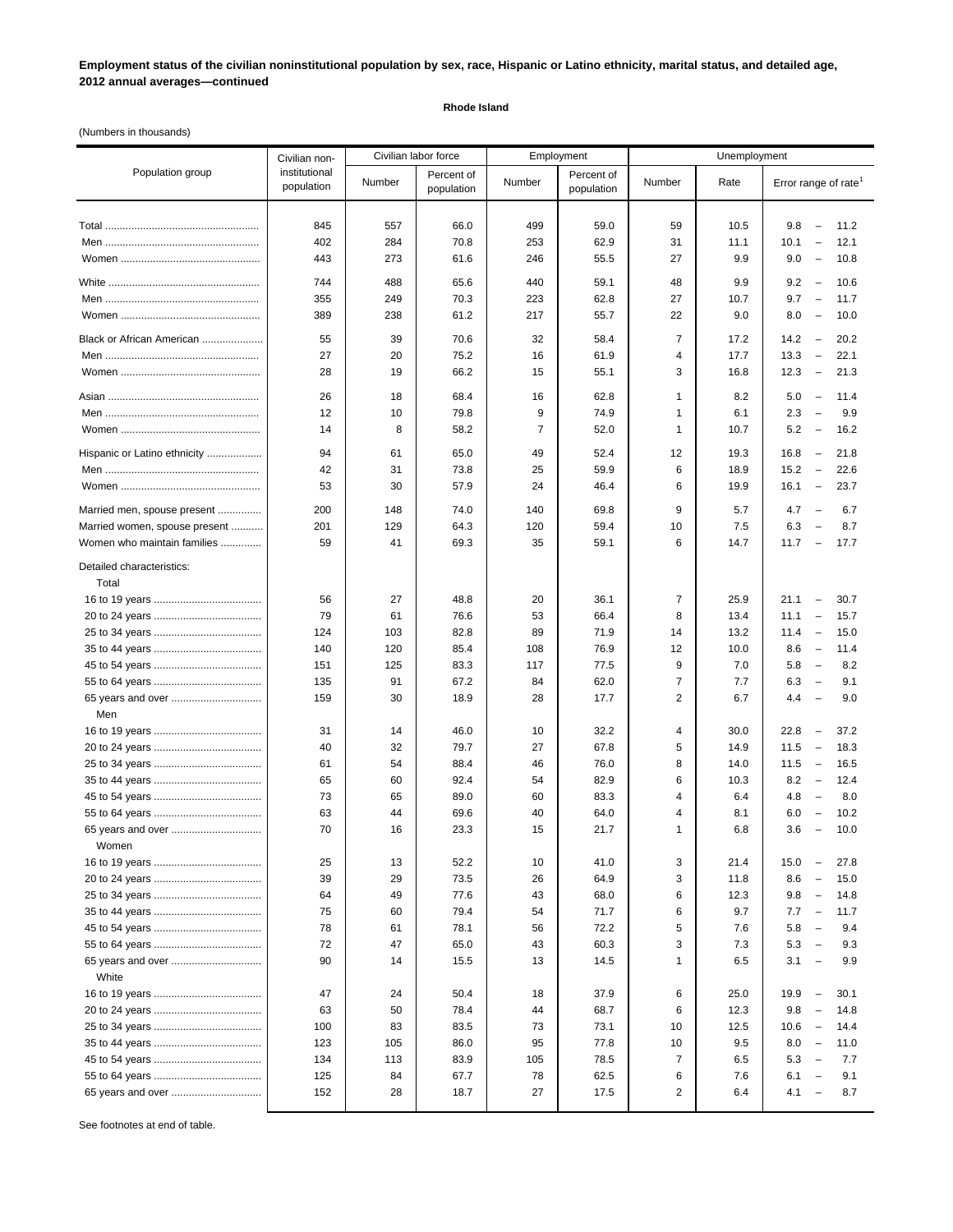**Employment status of the civilian noninstitutional population by sex, race, Hispanic or Latino ethnicity, marital status, and detailed age, 2012 annual averages—continued**

## **Rhode Island**

(Numbers in thousands)

|                                    | Civilian non-               | Civilian labor force |                          |                | Employment               | Unemployment   |      |                                                                                     |
|------------------------------------|-----------------------------|----------------------|--------------------------|----------------|--------------------------|----------------|------|-------------------------------------------------------------------------------------|
| Population group                   | institutional<br>population | Number               | Percent of<br>population | Number         | Percent of<br>population | Number         | Rate | Error range of rate <sup>1</sup>                                                    |
|                                    | 845                         |                      |                          | 499            |                          |                |      | $\overline{\phantom{a}}$                                                            |
|                                    |                             | 557                  | 66.0                     |                | 59.0                     | 59             | 10.5 | 9.8<br>11.2                                                                         |
|                                    | 402                         | 284                  | 70.8                     | 253            | 62.9                     | 31             | 11.1 | 10.1<br>12.1<br>$\overline{\phantom{a}}$<br>9.0<br>10.8<br>$\overline{\phantom{a}}$ |
|                                    | 443                         | 273                  | 61.6                     | 246            | 55.5                     | 27             | 9.9  |                                                                                     |
|                                    | 744                         | 488                  | 65.6                     | 440            | 59.1                     | 48             | 9.9  | 9.2<br>10.6<br>$\overline{\phantom{a}}$                                             |
|                                    | 355                         | 249                  | 70.3                     | 223            | 62.8                     | 27             | 10.7 | 9.7<br>$\overline{\phantom{a}}$<br>11.7                                             |
|                                    | 389                         | 238                  | 61.2                     | 217            | 55.7                     | 22             | 9.0  | 8.0<br>10.0<br>$\overline{\phantom{a}}$                                             |
| Black or African American          | 55                          | 39                   | 70.6                     | 32             | 58.4                     | $\overline{7}$ | 17.2 | 14.2<br>$\overline{\phantom{a}}$<br>20.2                                            |
|                                    | 27                          | 20                   | 75.2                     | 16             | 61.9                     | 4              | 17.7 | 13.3<br>$\overline{\phantom{a}}$<br>22.1                                            |
|                                    | 28                          | 19                   | 66.2                     | 15             | 55.1                     | 3              | 16.8 | 12.3<br>21.3<br>$\overline{\phantom{a}}$                                            |
|                                    |                             |                      |                          |                |                          |                |      |                                                                                     |
|                                    | 26                          | 18                   | 68.4                     | 16             | 62.8                     | 1              | 8.2  | 5.0<br>11.4<br>$\overline{\phantom{a}}$                                             |
|                                    | 12                          | 10                   | 79.8                     | 9              | 74.9                     | 1              | 6.1  | 2.3<br>$\overline{\phantom{a}}$<br>9.9                                              |
|                                    | 14                          | 8                    | 58.2                     | $\overline{7}$ | 52.0                     | 1              | 10.7 | 5.2<br>16.2<br>$\overline{\phantom{a}}$                                             |
| Hispanic or Latino ethnicity       | 94                          | 61                   | 65.0                     | 49             | 52.4                     | 12             | 19.3 | 16.8<br>21.8<br>$\overline{\phantom{a}}$                                            |
|                                    | 42                          | 31                   | 73.8                     | 25             | 59.9                     | 6              | 18.9 | 15.2<br>22.6<br>$\overline{\phantom{a}}$                                            |
|                                    | 53                          | 30                   | 57.9                     | 24             | 46.4                     | 6              | 19.9 | 16.1<br>$\overline{\phantom{m}}$<br>23.7                                            |
| Married men, spouse present        | 200                         | 148                  | 74.0                     | 140            | 69.8                     | 9              | 5.7  | 4.7<br>$\overline{\phantom{0}}$<br>6.7                                              |
| Married women, spouse present      | 201                         | 129                  | 64.3                     | 120            | 59.4                     | 10             | 7.5  | 6.3<br>8.7<br>$\overline{\phantom{a}}$                                              |
| Women who maintain families        | 59                          | 41                   | 69.3                     | 35             | 59.1                     | 6              | 14.7 | 11.7<br>17.7<br>$\overline{\phantom{a}}$                                            |
| Detailed characteristics:<br>Total |                             |                      |                          |                |                          |                |      |                                                                                     |
|                                    | 56                          | 27                   | 48.8                     | 20             | 36.1                     | $\overline{7}$ | 25.9 | 30.7<br>21.1<br>$\overline{\phantom{a}}$                                            |
|                                    | 79                          | 61                   | 76.6                     | 53             | 66.4                     | 8              | 13.4 | 11.1<br>15.7<br>$\overline{\phantom{a}}$                                            |
|                                    | 124                         | 103                  | 82.8                     | 89             | 71.9                     | 14             | 13.2 | 15.0<br>11.4<br>$\overline{\phantom{a}}$                                            |
|                                    | 140                         | 120                  | 85.4                     | 108            | 76.9                     | 12             | 10.0 | 8.6<br>11.4<br>$\overline{\phantom{a}}$                                             |
|                                    | 151                         | 125                  | 83.3                     | 117            | 77.5                     | 9              | 7.0  | 5.8<br>8.2<br>$\overline{\phantom{a}}$                                              |
|                                    | 135                         | 91                   | 67.2                     | 84             | 62.0                     | $\overline{7}$ | 7.7  | 6.3<br>$\overline{\phantom{a}}$<br>9.1                                              |
| 65 years and over                  | 159                         | 30                   | 18.9                     | 28             | 17.7                     | $\overline{2}$ | 6.7  | 4.4<br>9.0<br>$\overline{\phantom{a}}$                                              |
| Men                                |                             |                      |                          |                |                          |                |      |                                                                                     |
|                                    | 31                          | 14                   | 46.0                     | 10             | 32.2                     | 4              | 30.0 | 22.8<br>37.2<br>$\overline{\phantom{a}}$                                            |
|                                    | 40                          | 32                   | 79.7                     | 27             | 67.8                     | 5              | 14.9 | 11.5<br>18.3<br>$\overline{\phantom{a}}$                                            |
|                                    | 61                          | 54                   | 88.4                     | 46             | 76.0                     | 8              | 14.0 | 11.5<br>$\overline{\phantom{a}}$<br>16.5                                            |
|                                    | 65                          | 60                   | 92.4                     | 54             | 82.9                     | 6              | 10.3 | 8.2<br>12.4<br>$\overline{\phantom{a}}$                                             |
|                                    | 73                          | 65                   | 89.0                     | 60             | 83.3                     | 4              | 6.4  | 4.8<br>8.0<br>$\overline{\phantom{a}}$                                              |
|                                    | 63                          | 44                   | 69.6                     | 40             | 64.0                     | 4              | 8.1  | 10.2<br>6.0<br>$\overline{\phantom{a}}$                                             |
| 65 years and over                  | 70                          | 16                   | 23.3                     | 15             | 21.7                     | 1              | 6.8  | 3.6<br>10.0<br>$\overline{\phantom{a}}$                                             |
| Women                              |                             |                      |                          |                |                          |                |      |                                                                                     |
|                                    | 25                          | 13                   | 52.2                     | 10             | 41.0                     | 3              | 21.4 | 15.0<br>27.8<br>$\overline{\phantom{m}}$                                            |
|                                    | 39                          | 29                   | 73.5                     | 26             | 64.9                     | 3              | 11.8 | 8.6<br>15.0<br>$\overline{\phantom{a}}$                                             |
|                                    | 64                          | 49                   | 77.6                     | 43             | 68.0                     | 6              | 12.3 | 9.8<br>14.8<br>$\overline{\phantom{a}}$                                             |
|                                    | 75                          | 60                   | 79.4                     | 54             | 71.7                     | 6              | 9.7  | 7.7<br>11.7<br>$\overline{\phantom{a}}$                                             |
|                                    | 78                          | 61                   | 78.1                     | 56             | 72.2                     | 5              | 7.6  | 5.8<br>9.4<br>$\overline{\phantom{a}}$                                              |
|                                    | 72                          | 47                   | 65.0                     | 43             | 60.3                     | 3              | 7.3  | 5.3<br>9.3<br>$\overline{\phantom{a}}$                                              |
| 65 years and over<br>White         | 90                          | 14                   | 15.5                     | 13             | 14.5                     | 1              | 6.5  | 3.1<br>9.9<br>$\overline{\phantom{a}}$                                              |
|                                    | 47                          | 24                   | 50.4                     | 18             | 37.9                     | 6              | 25.0 | 19.9<br>30.1<br>$\overline{\phantom{m}}$                                            |
|                                    | 63                          | 50                   | 78.4                     | 44             | 68.7                     | 6              | 12.3 | 9.8<br>$\overline{\phantom{0}}$<br>14.8                                             |
|                                    | 100                         | 83                   | 83.5                     | 73             | 73.1                     | 10             | 12.5 | 10.6<br>14.4<br>$\overline{\phantom{0}}$                                            |
|                                    | 123                         | 105                  | 86.0                     | 95             | 77.8                     | 10             | 9.5  | 8.0<br>11.0<br>$\overline{\phantom{a}}$                                             |
|                                    | 134                         | 113                  | 83.9                     | 105            | 78.5                     | $\overline{7}$ | 6.5  | 5.3<br>7.7<br>$\overline{\phantom{a}}$                                              |
|                                    | 125                         | 84                   | 67.7                     | 78             | 62.5                     | 6              | 7.6  | 6.1<br>9.1<br>$\overline{\phantom{0}}$                                              |
| 65 years and over                  | 152                         | 28                   | 18.7                     | 27             | 17.5                     | $\overline{2}$ | 6.4  | 4.1<br>8.7<br>$\overline{a}$                                                        |

See footnotes at end of table.